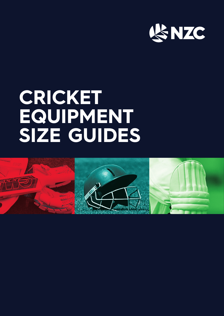

# **CRICKET EQUIPMENT SIZE GUIDES**

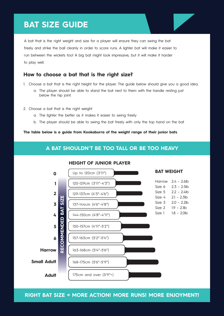## **BAT SIZE GUIDE**



#### **How to choose a bat that is the right size?**

- 1. Choose a bat that is the right height for the player. The guide below should give you a good idea.
	- a. The player should be able to stand the bat next to them with the handle resting just below the hip joint.
- 2. Choose a bat that is the right weight
	- a. The lighter the better as it makes it easier to swing freely
	- b. The player should be able to swing the bat freely with only the top hand on the bat

**The table below is a guide from Kookaburra of the weight range of their junior bats**

## **A BAT SHOULDN'T BE TOO TALL OR BE TOO HEAVY**



**RIGHT BAT SIZE = MORE ACTION! MORE RUNS! MORE ENJOYMENT!**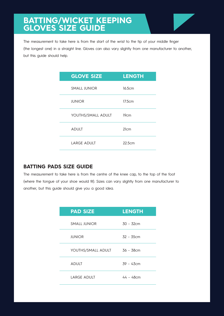## **BATTING/WICKET KEEPING GLOVES SIZE GUIDE**



The measurement to take here is from the start of the wrist to the tip of your middle finger (the longest one) in a straight line. Gloves can also vary slightly from one manufacturer to another, but this guide should help.

| <b>GLOVE SIZE</b>  | <b>LENGTH</b>    |
|--------------------|------------------|
| SMALL JUNIOR       | 16.5cm           |
| <b>JUNIOR</b>      | 17.5cm           |
| YOUTHS/SMALL ADULT | 19 <sub>cm</sub> |
| <b>ADULT</b>       | 21cm             |
| <b>LARGE ADULT</b> | 22.5cm           |

## **BATTING PADS SIZE GUIDE**

The measurement to take here is from the centre of the knee cap, to the top of the foot (where the tongue of your shoe would fit). Sizes can vary slightly from one manufacturer to another, but this guide should give you a good idea.

| <b>PAD SIZE</b>    | <b>LENGTH</b> |
|--------------------|---------------|
| SMALL JUNIOR       | 30 - 32cm     |
| <b>JUNIOR</b>      | 32 - 35cm     |
| YOUTHS/SMALL ADULT | 36 - 38cm     |
| <b>ADULT</b>       | 39 - 43cm     |
| <b>LARGE ADULT</b> | 44 - 48cm     |